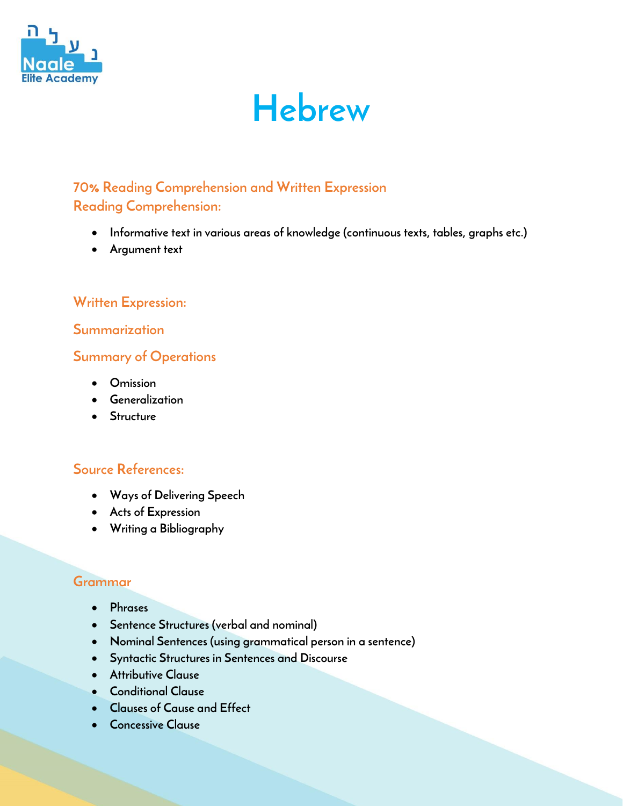

# **Hebrew**

## **70% Reading Comprehension and Written Expression Reading Comprehension:**

- **Informative text in various areas of knowledge (continuous texts, tables, graphs etc.)**
- **Argument text**

## **Written Expression:**

#### **Summarization**

## **Summary of Operations**

- **Omission**
- **Generalization**
- **Structure**

## **Source References:**

- **Ways of Delivering Speech**
- **Acts of Expression**
- **Writing a Bibliography**

#### **Grammar**

- **Phrases**
- **Sentence Structures (verbal and nominal)**
- **Nominal Sentences (using grammatical person in a sentence)**
- **Syntactic Structures in Sentences and Discourse**
- **Attributive Clause**
- **Conditional Clause**
- **Clauses of Cause and Effect**
- **Concessive Clause**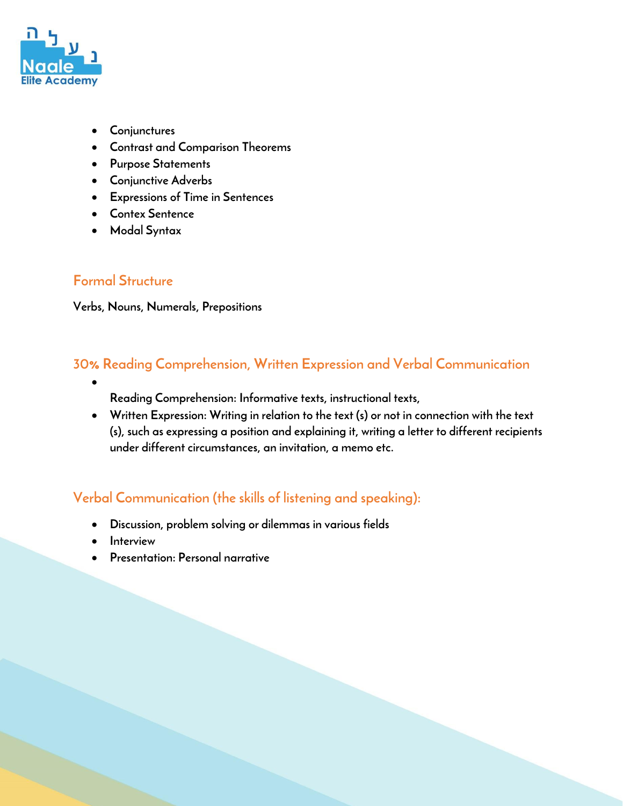

- **Conjunctures**
- **Contrast and Comparison Theorems**
- **Purpose Statements**
- **Conjunctive Adverbs**
- **Expressions of Time in Sentences**
- **Contex Sentence**
- **Modal Syntax**

#### **Formal Structure**

**Verbs, Nouns, Numerals, Prepositions** 

## **30% Reading Comprehension, Written Expression and Verbal Communication**

- **Reading Comprehension: Informative texts, instructional texts,**
- **Written Expression: Writing in relation to the text (s) or not in connection with the text (s), such as expressing a position and explaining it, writing a letter to different recipients under different circumstances, an invitation, a memo etc.**

## **Verbal Communication (the skills of listening and speaking):**

- **Discussion, problem solving or dilemmas in various fields**
- **Interview**
- **Presentation: Personal narrative**